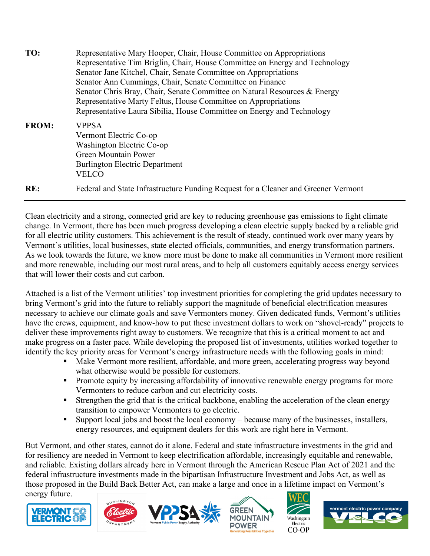| TO:          | Representative Mary Hooper, Chair, House Committee on Appropriations<br>Representative Tim Briglin, Chair, House Committee on Energy and Technology<br>Senator Jane Kitchel, Chair, Senate Committee on Appropriations<br>Senator Ann Cummings, Chair, Senate Committee on Finance<br>Senator Chris Bray, Chair, Senate Committee on Natural Resources & Energy<br>Representative Marty Feltus, House Committee on Appropriations<br>Representative Laura Sibilia, House Committee on Energy and Technology |
|--------------|-------------------------------------------------------------------------------------------------------------------------------------------------------------------------------------------------------------------------------------------------------------------------------------------------------------------------------------------------------------------------------------------------------------------------------------------------------------------------------------------------------------|
| <b>FROM:</b> | <b>VPPSA</b><br>Vermont Electric Co-op<br>Washington Electric Co-op<br><b>Green Mountain Power</b><br><b>Burlington Electric Department</b><br><b>VELCO</b>                                                                                                                                                                                                                                                                                                                                                 |
| RE:          | Federal and State Infrastructure Funding Request for a Cleaner and Greener Vermont                                                                                                                                                                                                                                                                                                                                                                                                                          |

Clean electricity and a strong, connected grid are key to reducing greenhouse gas emissions to fight climate change. In Vermont, there has been much progress developing a clean electric supply backed by a reliable grid for all electric utility customers. This achievement is the result of steady, continued work over many years by Vermont's utilities, local businesses, state elected officials, communities, and energy transformation partners. As we look towards the future, we know more must be done to make all communities in Vermont more resilient and more renewable, including our most rural areas, and to help all customers equitably access energy services that will lower their costs and cut carbon.

Attached is a list of the Vermont utilities' top investment priorities for completing the grid updates necessary to bring Vermont's grid into the future to reliably support the magnitude of beneficial electrification measures necessary to achieve our climate goals and save Vermonters money. Given dedicated funds, Vermont's utilities have the crews, equipment, and know-how to put these investment dollars to work on "shovel-ready" projects to deliver these improvements right away to customers. We recognize that this is a critical moment to act and make progress on a faster pace. While developing the proposed list of investments, utilities worked together to identify the key priority areas for Vermont's energy infrastructure needs with the following goals in mind:

- Make Vermont more resilient, affordable, and more green, accelerating progress way beyond what otherwise would be possible for customers.
- **Promote equity by increasing affordability of innovative renewable energy programs for more** Vermonters to reduce carbon and cut electricity costs.
- Strengthen the grid that is the critical backbone, enabling the acceleration of the clean energy transition to empower Vermonters to go electric.
- Support local jobs and boost the local economy because many of the businesses, installers, energy resources, and equipment dealers for this work are right here in Vermont.

But Vermont, and other states, cannot do it alone. Federal and state infrastructure investments in the grid and for resiliency are needed in Vermont to keep electrification affordable, increasingly equitable and renewable, and reliable. Existing dollars already here in Vermont through the American Rescue Plan Act of 2021 and the federal infrastructure investments made in the bipartisan Infrastructure Investment and Jobs Act, as well as those proposed in the Build Back Better Act, can make a large and once in a lifetime impact on Vermont's energy future.











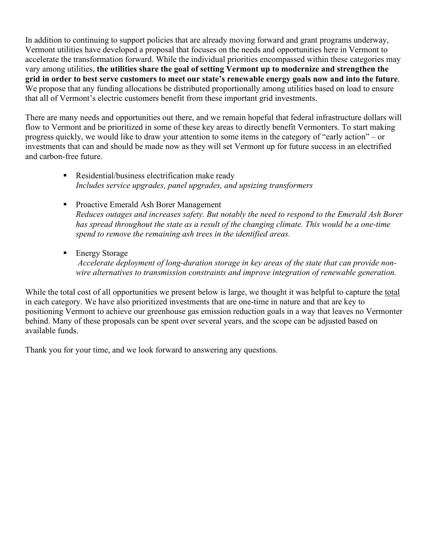In addition to continuing to support policies that are already moving forward and grant programs underway, Vermont utilities have developed a proposal that focuses on the needs and opportunities here in Vermont to accelerate the transformation forward. While the individual priorities encompassed within these categories may vary among utilities, **the utilities share the goal of setting Vermont up to modernize and strengthen the grid in order to best serve customers to meet our state's renewable energy goals now and into the future**. We propose that any funding allocations be distributed proportionally among utilities based on load to ensure that all of Vermont's electric customers benefit from these important grid investments.

There are many needs and opportunities out there, and we remain hopeful that federal infrastructure dollars will flow to Vermont and be prioritized in some of these key areas to directly benefit Vermonters. To start making progress quickly, we would like to draw your attention to some items in the category of "early action" – or investments that can and should be made now as they will set Vermont up for future success in an electrified and carbon-free future.

- Residential/business electrification make ready *Includes service upgrades, panel upgrades, and upsizing transformers*
- **Proactive Emerald Ash Borer Management** *Reduces outages and increases safety. But notably the need to respond to the Emerald Ash Borer has spread throughout the state as a result of the changing climate. This would be a one-time spend to remove the remaining ash trees in the identified areas.*
- **Energy Storage** *Accelerate deployment of long-duration storage in key areas of the state that can provide nonwire alternatives to transmission constraints and improve integration of renewable generation.*

While the total cost of all opportunities we present below is large, we thought it was helpful to capture the total in each category. We have also prioritized investments that are one-time in nature and that are key to positioning Vermont to achieve our greenhouse gas emission reduction goals in a way that leaves no Vermonter behind. Many of these proposals can be spent over several years, and the scope can be adjusted based on available funds.

Thank you for your time, and we look forward to answering any questions.